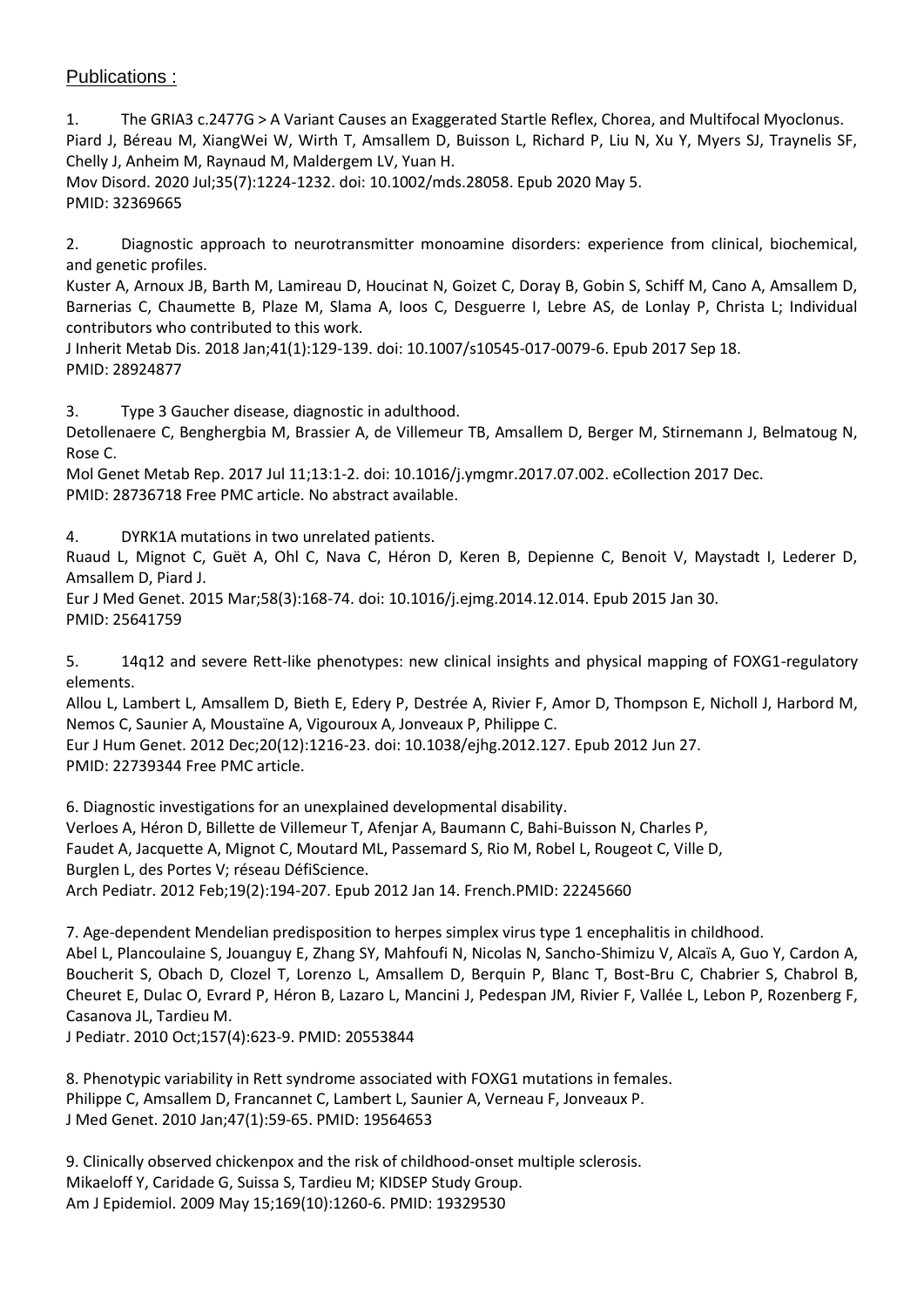## Publications :

1. The GRIA3 c.2477G > A Variant Causes an Exaggerated Startle Reflex, Chorea, and Multifocal Myoclonus. Piard J, Béreau M, XiangWei W, Wirth T, Amsallem D, Buisson L, Richard P, Liu N, Xu Y, Myers SJ, Traynelis SF, Chelly J, Anheim M, Raynaud M, Maldergem LV, Yuan H.

Mov Disord. 2020 Jul;35(7):1224-1232. doi: 10.1002/mds.28058. Epub 2020 May 5. PMID: 32369665

2. Diagnostic approach to neurotransmitter monoamine disorders: experience from clinical, biochemical, and genetic profiles.

Kuster A, Arnoux JB, Barth M, Lamireau D, Houcinat N, Goizet C, Doray B, Gobin S, Schiff M, Cano A, Amsallem D, Barnerias C, Chaumette B, Plaze M, Slama A, Ioos C, Desguerre I, Lebre AS, de Lonlay P, Christa L; Individual contributors who contributed to this work.

J Inherit Metab Dis. 2018 Jan;41(1):129-139. doi: 10.1007/s10545-017-0079-6. Epub 2017 Sep 18. PMID: 28924877

3. Type 3 Gaucher disease, diagnostic in adulthood.

Detollenaere C, Benghergbia M, Brassier A, de Villemeur TB, Amsallem D, Berger M, Stirnemann J, Belmatoug N, Rose C.

Mol Genet Metab Rep. 2017 Jul 11;13:1-2. doi: 10.1016/j.ymgmr.2017.07.002. eCollection 2017 Dec. PMID: 28736718 Free PMC article. No abstract available.

4. DYRK1A mutations in two unrelated patients.

Ruaud L, Mignot C, Guët A, Ohl C, Nava C, Héron D, Keren B, Depienne C, Benoit V, Maystadt I, Lederer D, Amsallem D, Piard J.

Eur J Med Genet. 2015 Mar;58(3):168-74. doi: 10.1016/j.ejmg.2014.12.014. Epub 2015 Jan 30. PMID: 25641759

5. 14q12 and severe Rett-like phenotypes: new clinical insights and physical mapping of FOXG1-regulatory elements.

Allou L, Lambert L, Amsallem D, Bieth E, Edery P, Destrée A, Rivier F, Amor D, Thompson E, Nicholl J, Harbord M, Nemos C, Saunier A, Moustaïne A, Vigouroux A, Jonveaux P, Philippe C.

Eur J Hum Genet. 2012 Dec;20(12):1216-23. doi: 10.1038/ejhg.2012.127. Epub 2012 Jun 27. PMID: 22739344 Free PMC article.

6. Diagnostic investigations for an unexplained developmental disability. Verloes A, Héron D, Billette de Villemeur T, Afenjar A, Baumann C, Bahi-Buisson N, Charles P, Faudet A, Jacquette A, Mignot C, Moutard ML, Passemard S, Rio M, Robel L, Rougeot C, Ville D, Burglen L, des Portes V; réseau DéfiScience. Arch Pediatr. 2012 Feb;19(2):194-207. Epub 2012 Jan 14. French.PMID: 22245660

7. Age-dependent Mendelian predisposition to herpes simplex virus type 1 encephalitis in childhood. Abel L, Plancoulaine S, Jouanguy E, Zhang SY, Mahfoufi N, Nicolas N, Sancho-Shimizu V, Alcaïs A, Guo Y, Cardon A, Boucherit S, Obach D, Clozel T, Lorenzo L, Amsallem D, Berquin P, Blanc T, Bost-Bru C, Chabrier S, Chabrol B, Cheuret E, Dulac O, Evrard P, Héron B, Lazaro L, Mancini J, Pedespan JM, Rivier F, Vallée L, Lebon P, Rozenberg F, Casanova JL, Tardieu M.

J Pediatr. 2010 Oct;157(4):623-9. PMID: 20553844

8. Phenotypic variability in Rett syndrome associated with FOXG1 mutations in females. Philippe C, Amsallem D, Francannet C, Lambert L, Saunier A, Verneau F, Jonveaux P. J Med Genet. 2010 Jan;47(1):59-65. PMID: 19564653

9. Clinically observed chickenpox and the risk of childhood-onset multiple sclerosis. Mikaeloff Y, Caridade G, Suissa S, Tardieu M; KIDSEP Study Group. Am J Epidemiol. 2009 May 15;169(10):1260-6. PMID: 19329530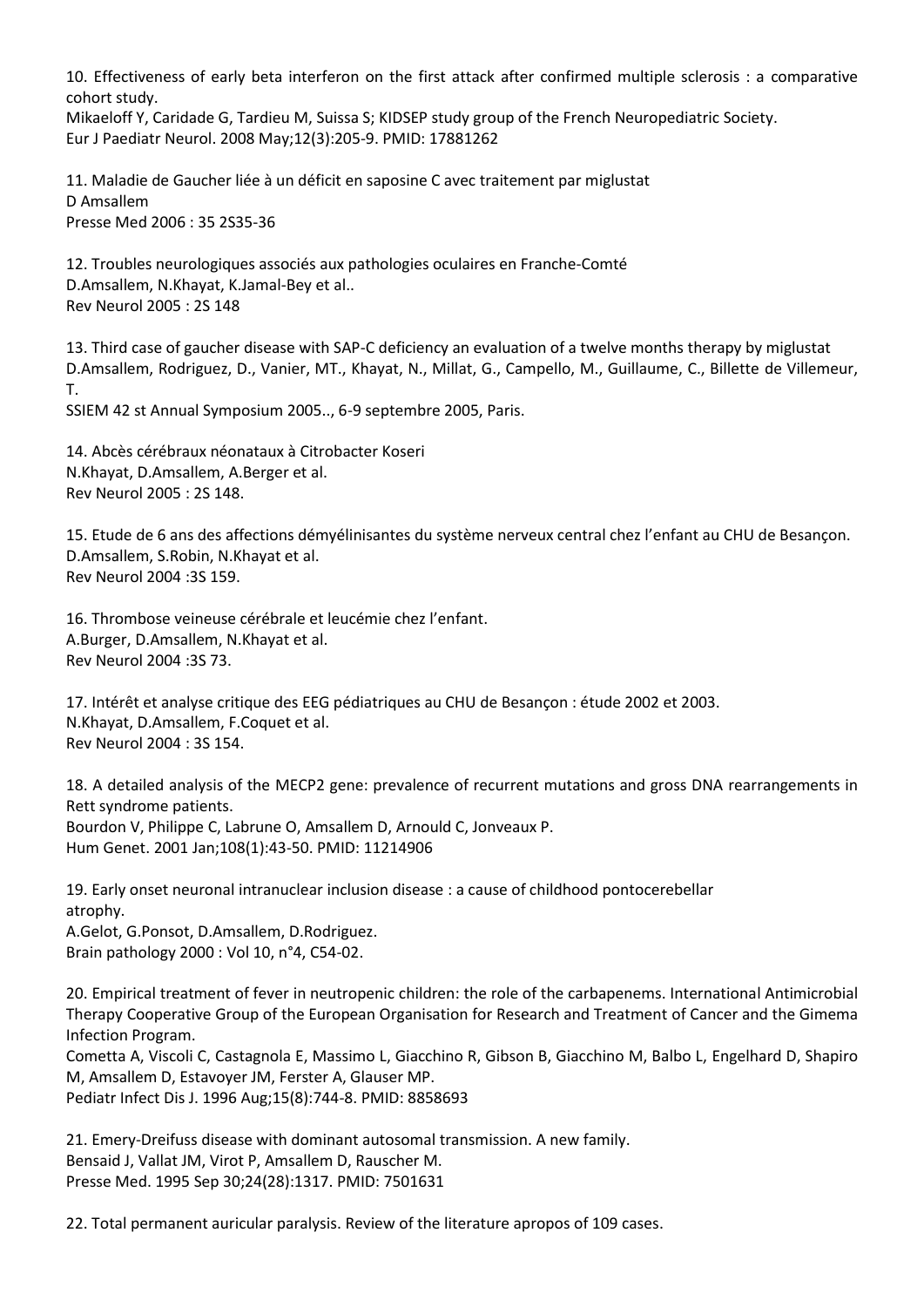10. Effectiveness of early beta interferon on the first attack after confirmed multiple sclerosis : a comparative cohort study.

Mikaeloff Y, Caridade G, Tardieu M, Suissa S; KIDSEP study group of the French Neuropediatric Society. Eur J Paediatr Neurol. 2008 May;12(3):205-9. PMID: 17881262

11. Maladie de Gaucher liée à un déficit en saposine C avec traitement par miglustat D Amsallem Presse Med 2006 : 35 2S35-36

12. Troubles neurologiques associés aux pathologies oculaires en Franche-Comté D.Amsallem, N.Khayat, K.Jamal-Bey et al.. Rev Neurol 2005 : 2S 148

13. Third case of gaucher disease with SAP-C deficiency an evaluation of a twelve months therapy by miglustat D.Amsallem, Rodriguez, D., Vanier, MT., Khayat, N., Millat, G., Campello, M., Guillaume, C., Billette de Villemeur, T.

SSIEM 42 st Annual Symposium 2005.., 6-9 septembre 2005, Paris.

14. Abcès cérébraux néonataux à Citrobacter Koseri N.Khayat, D.Amsallem, A.Berger et al. Rev Neurol 2005 : 2S 148.

15. Etude de 6 ans des affections démyélinisantes du système nerveux central chez l'enfant au CHU de Besançon. D.Amsallem, S.Robin, N.Khayat et al. Rev Neurol 2004 :3S 159.

16. Thrombose veineuse cérébrale et leucémie chez l'enfant. A.Burger, D.Amsallem, N.Khayat et al. Rev Neurol 2004 :3S 73.

17. Intérêt et analyse critique des EEG pédiatriques au CHU de Besançon : étude 2002 et 2003. N.Khayat, D.Amsallem, F.Coquet et al. Rev Neurol 2004 : 3S 154.

18. A detailed analysis of the MECP2 gene: prevalence of recurrent mutations and gross DNA rearrangements in Rett syndrome patients. Bourdon V, Philippe C, Labrune O, Amsallem D, Arnould C, Jonveaux P. Hum Genet. 2001 Jan;108(1):43-50. PMID: 11214906

19. Early onset neuronal intranuclear inclusion disease : a cause of childhood pontocerebellar atrophy. A.Gelot, G.Ponsot, D.Amsallem, D.Rodriguez. Brain pathology 2000 : Vol 10, n°4, C54-02.

20. Empirical treatment of fever in neutropenic children: the role of the carbapenems. International Antimicrobial Therapy Cooperative Group of the European Organisation for Research and Treatment of Cancer and the Gimema Infection Program.

Cometta A, Viscoli C, Castagnola E, Massimo L, Giacchino R, Gibson B, Giacchino M, Balbo L, Engelhard D, Shapiro M, Amsallem D, Estavoyer JM, Ferster A, Glauser MP. Pediatr Infect Dis J. 1996 Aug;15(8):744-8. PMID: 8858693

21. Emery-Dreifuss disease with dominant autosomal transmission. A new family. Bensaid J, Vallat JM, Virot P, Amsallem D, Rauscher M. Presse Med. 1995 Sep 30;24(28):1317. PMID: 7501631

22. Total permanent auricular paralysis. Review of the literature apropos of 109 cases.